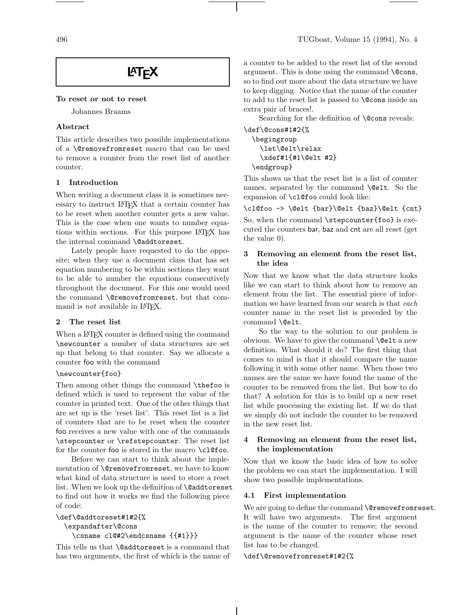# **LAT<sub>F</sub>X**

#### To reset or not to reset

Johannes Braams

## Abstract

This article describes two possible implementations of a \@removefromreset macro that can be used to remove a counter from the reset list of another counter.

## 1 Introduction

When writing a document class it is sometimes necessary to instruct L<sup>A</sup>TEX that a certain counter has to be reset when another counter gets a new value. This is the case when one wants to number equations within sections. For this purpose LAT<sub>EX</sub> has the internal command \@addtoreset.

Lately people have requested to do the opposite; when they use a document class that has set equation numbering to be within sections they want to be able to number the equations consecutively throughout the document. For this one would need the command \@removefromreset, but that command is *not* available in LAT<sub>F</sub>X.

## 2 The reset list

When a L<sup>A</sup>T<sub>E</sub>X counter is defined using the command \newcounter a number of data structures are set up that belong to that counter. Say we allocate a counter foo with the command

## \newcounter{foo}

Then among other things the command \thefoo is defined which is used to represent the value of the counter in printed text. One of the other things that are set up is the 'reset list'. This reset list is a list of counters that are to be reset when the counter foo receives a new value with one of the commands \stepcounter or \refstepcounter. The reset list for the counter foo is stored in the macro \cl@foo.

Before we can start to think about the implementation of \@removefromreset, we have to know what kind of data structure is used to store a reset list. When we look up the definition of **\@addtoreset** to find out how it works we find the following piece of code:

```
\def\@addtoreset#1#2{%
 \expandafter\@cons
    \csname cl@#2\endcsname {{#1}}}
```
This tells us that \@addtoreset is a command that has two arguments, the first of which is the name of a counter to be added to the reset list of the second argument. This is done using the command \@cons, so to find out more about the data structure we have to keep digging. Notice that the name of the counter to add to the reset list is passed to \@cons inside an extra pair of braces!.

Searching for the definition of **\@cons** reveals:

```
\def\@cons#1#2{%
  \begingroup
    \let\@elt\relax
    \xdef#1{#1\@elt #2}
  \endgroup}
```
This shows us that the reset list is a list of counter names, separated by the command **\@elt**. So the expansion of \cl@foo could look like:

\cl@foo -> \@elt {bar}\@elt {baz}\@elt {cnt}

So, when the command \stepcounter{foo} is executed the counters bar, baz and cnt are all reset (get the value 0).

## 3 Removing an element from the reset list, the idea

Now that we know what the data structure looks like we can start to think about how to remove an element from the list. The essential piece of information we have learned from our search is that each counter name in the reset list is preceded by the command \@elt.

So the way to the solution to our problem is obvious. We have to give the command  $\text{Qelt}$  a new definition. What should it do? The first thing that comes to mind is that it should compare the name following it with some other name. When those two names are the same we have found the name of the counter to be removed from the list. But how to do that? A solution for this is to build up a new reset list while processing the existing list. If we do that we simply do not include the counter to be removed in the new reset list.

## 4 Removing an element from the reset list, the implementation

Now that we know the basic idea of how to solve the problem we can start the implementation. I will show two possible implementations.

## 4.1 First implementation

We are going to define the command *\@removefromreset*. It will have two arguments. The first argument is the name of the counter to remove; the second argument is the name of the counter whose reset list has to be changed.

## \def\@removefromreset#1#2{%